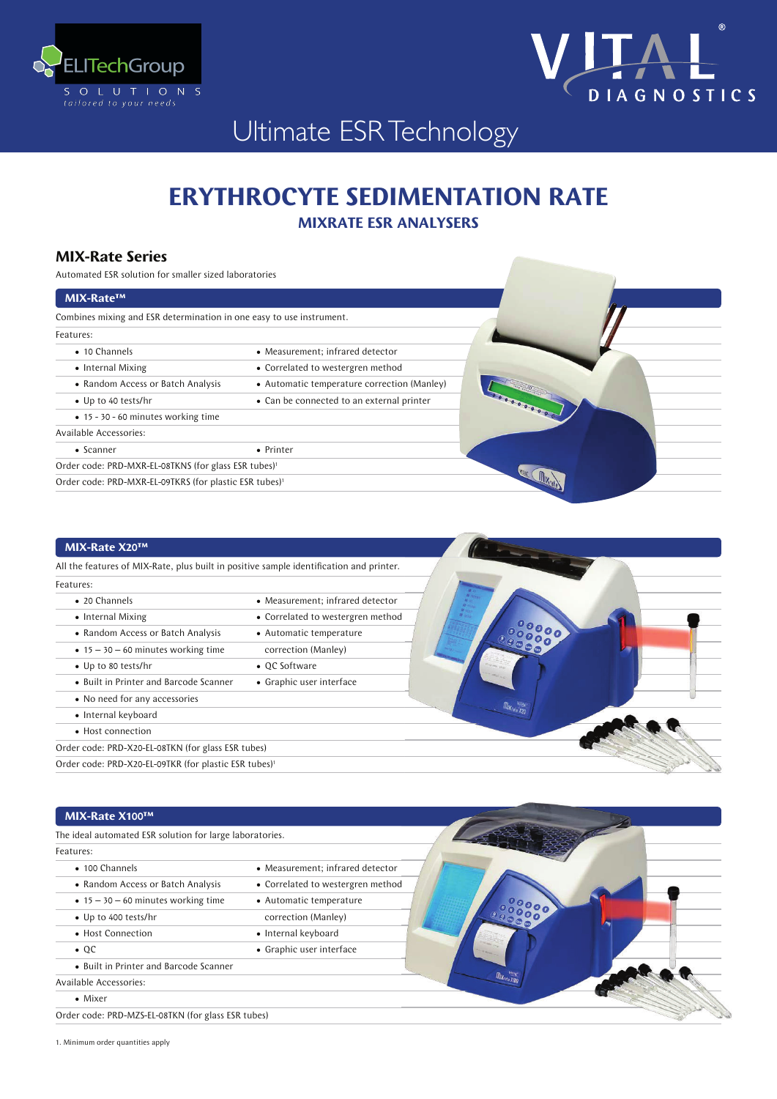



## Ultimate ESR Technology

# **ERYTHROCYTE SEDIMENTATION RATE**

**MIXRATE ESR ANALYSERS** 

### **MIX-Rate Series**

Automated ESR solution for smaller sized laboratories

#### MIX-Rate™ Combines mixing and ESR determination in one easy to use instrument. Features: • 10 Channels • Measurement; infrared detector • Internal Mixing • Correlated to westergren method • Random Access or Batch Analysis • Automatic temperature correction (Manley) **MOREOGRAP** • Up to 40 tests/hr • Can be connected to an external printer • 15 - 30 - 60 minutes working time Available Accessories: • Scanner • Printer Order code: PRD-MXR-EL-08TKNS (for glass ESR tubes)  $\sqrt{N}$ Order code: PRD-MXR-EL-09TKRS (for plastic ESR tubes)<sup>1</sup>

### **AIM BLACKMOON**

| All the features of MIX-Rate, plus built in positive sample identification and printer. |
|-----------------------------------------------------------------------------------------|
|                                                                                         |
| • Measurement; infrared detector                                                        |
| • Correlated to westergren method                                                       |
| • Automatic temperature                                                                 |
| correction (Manley)                                                                     |
| • OC Software                                                                           |
| • Graphic user interface                                                                |
|                                                                                         |
|                                                                                         |
|                                                                                         |
| Order code: PRD-X20-EL-08TKN (for glass ESR tubes)                                      |
| Order code: PRD-X20-EL-09TKR (for plastic ESR tubes) <sup>1</sup>                       |
|                                                                                         |

## $MIX-Rate X100^{TM}$

| The ideal automated ESR solution for large laboratories. |                                   |
|----------------------------------------------------------|-----------------------------------|
| Features:                                                |                                   |
| • 100 Channels                                           | • Measurement; infrared detector  |
| • Random Access or Batch Analysis                        | • Correlated to westergren method |
| $\bullet$ 15 - 30 - 60 minutes working time              | • Automatic temperature           |
| • Up to 400 tests/hr                                     | correction (Manley)               |
| • Host Connection                                        | • Internal keyboard               |
| $\bullet$ QC                                             | • Graphic user interface          |
| • Built in Printer and Barcode Scanner                   |                                   |
| <b>Available Accessories:</b>                            |                                   |
| • Mixer                                                  |                                   |
| Order code: PRD-MZS-EL-08TKN (for glass ESR tubes)       |                                   |